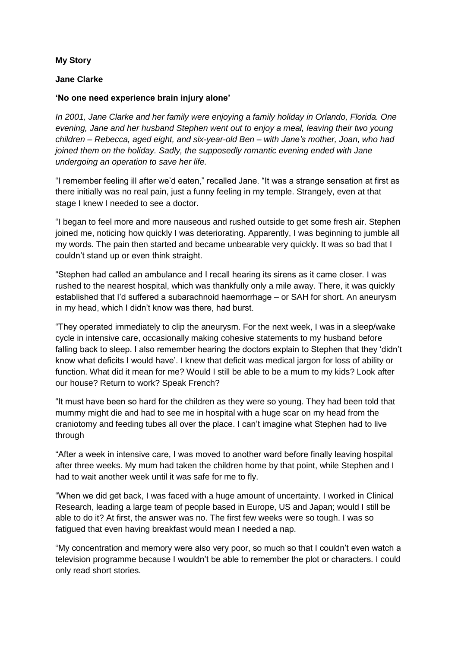## **My Story**

## **Jane Clarke**

## **'No one need experience brain injury alone'**

*In 2001, Jane Clarke and her family were enjoying a family holiday in Orlando, Florida. One evening, Jane and her husband Stephen went out to enjoy a meal, leaving their two young children – Rebecca, aged eight, and six-year-old Ben – with Jane's mother, Joan, who had joined them on the holiday. Sadly, the supposedly romantic evening ended with Jane undergoing an operation to save her life.*

"I remember feeling ill after we'd eaten," recalled Jane. "It was a strange sensation at first as there initially was no real pain, just a funny feeling in my temple. Strangely, even at that stage I knew I needed to see a doctor.

"I began to feel more and more nauseous and rushed outside to get some fresh air. Stephen joined me, noticing how quickly I was deteriorating. Apparently, I was beginning to jumble all my words. The pain then started and became unbearable very quickly. It was so bad that I couldn't stand up or even think straight.

"Stephen had called an ambulance and I recall hearing its sirens as it came closer. I was rushed to the nearest hospital, which was thankfully only a mile away. There, it was quickly established that I'd suffered a subarachnoid haemorrhage – or SAH for short. An aneurysm in my head, which I didn't know was there, had burst.

"They operated immediately to clip the aneurysm. For the next week, I was in a sleep/wake cycle in intensive care, occasionally making cohesive statements to my husband before falling back to sleep. I also remember hearing the doctors explain to Stephen that they 'didn't know what deficits I would have'. I knew that deficit was medical jargon for loss of ability or function. What did it mean for me? Would I still be able to be a mum to my kids? Look after our house? Return to work? Speak French?

"It must have been so hard for the children as they were so young. They had been told that mummy might die and had to see me in hospital with a huge scar on my head from the craniotomy and feeding tubes all over the place. I can't imagine what Stephen had to live through

"After a week in intensive care, I was moved to another ward before finally leaving hospital after three weeks. My mum had taken the children home by that point, while Stephen and I had to wait another week until it was safe for me to fly.

"When we did get back, I was faced with a huge amount of uncertainty. I worked in Clinical Research, leading a large team of people based in Europe, US and Japan; would I still be able to do it? At first, the answer was no. The first few weeks were so tough. I was so fatigued that even having breakfast would mean I needed a nap.

"My concentration and memory were also very poor, so much so that I couldn't even watch a television programme because I wouldn't be able to remember the plot or characters. I could only read short stories.